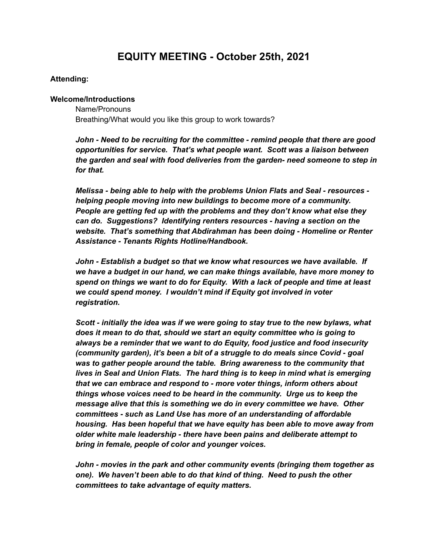# **EQUITY MEETING - October 25th, 2021**

### **Attending:**

#### **Welcome/Introductions**

Name/Pronouns Breathing/What would you like this group to work towards?

*John - Need to be recruiting for the committee - remind people that there are good opportunities for service. That's what people want. Scott was a liaison between the garden and seal with food deliveries from the garden- need someone to step in for that.*

*Melissa - being able to help with the problems Union Flats and Seal - resources helping people moving into new buildings to become more of a community. People are getting fed up with the problems and they don't know what else they can do. Suggestions? Identifying renters resources - having a section on the website. That's something that Abdirahman has been doing - Homeline or Renter Assistance - Tenants Rights Hotline/Handbook.*

*John - Establish a budget so that we know what resources we have available. If we have a budget in our hand, we can make things available, have more money to spend on things we want to do for Equity. With a lack of people and time at least we could spend money. I wouldn't mind if Equity got involved in voter registration.*

*Scott - initially the idea was if we were going to stay true to the new bylaws, what does it mean to do that, should we start an equity committee who is going to always be a reminder that we want to do Equity, food justice and food insecurity (community garden), it's been a bit of a struggle to do meals since Covid - goal was to gather people around the table. Bring awareness to the community that lives in Seal and Union Flats. The hard thing is to keep in mind what is emerging that we can embrace and respond to - more voter things, inform others about things whose voices need to be heard in the community. Urge us to keep the message alive that this is something we do in every committee we have. Other committees - such as Land Use has more of an understanding of affordable housing. Has been hopeful that we have equity has been able to move away from older white male leadership - there have been pains and deliberate attempt to bring in female, people of color and younger voices.*

*John - movies in the park and other community events (bringing them together as one). We haven't been able to do that kind of thing. Need to push the other committees to take advantage of equity matters.*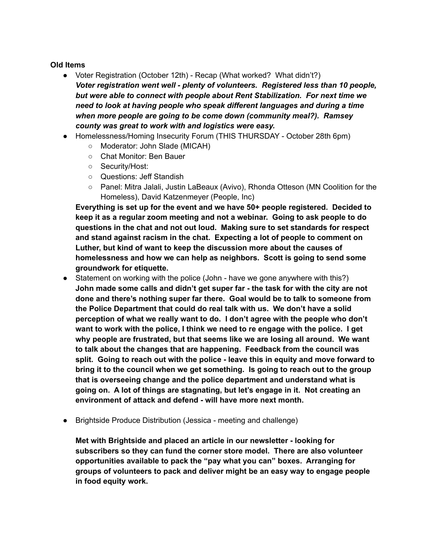### **Old Items**

- Voter Registration (October 12th) Recap (What worked? What didn't?) *Voter registration went well - plenty of volunteers. Registered less than 10 people, but were able to connect with people about Rent Stabilization. For next time we need to look at having people who speak different languages and during a time when more people are going to be come down (community meal?). Ramsey county was great to work with and logistics were easy.*
- Homelessness/Homing Insecurity Forum (THIS THURSDAY October 28th 6pm)
	- Moderator: John Slade (MICAH)
	- Chat Monitor: Ben Bauer
	- Security/Host:
	- Questions: Jeff Standish
	- Panel: Mitra Jalali, Justin LaBeaux (Avivo), Rhonda Otteson (MN Coolition for the Homeless), David Katzenmeyer (People, Inc)

**Everything is set up for the event and we have 50+ people registered. Decided to keep it as a regular zoom meeting and not a webinar. Going to ask people to do questions in the chat and not out loud. Making sure to set standards for respect and stand against racism in the chat. Expecting a lot of people to comment on Luther, but kind of want to keep the discussion more about the causes of homelessness and how we can help as neighbors. Scott is going to send some groundwork for etiquette.**

- Statement on working with the police (John have we gone anywhere with this?) **John made some calls and didn't get super far - the task for with the city are not done and there's nothing super far there. Goal would be to talk to someone from the Police Department that could do real talk with us. We don't have a solid perception of what we really want to do. I don't agree with the people who don't want to work with the police, I think we need to re engage with the police. I get why people are frustrated, but that seems like we are losing all around. We want to talk about the changes that are happening. Feedback from the council was split. Going to reach out with the police - leave this in equity and move forward to bring it to the council when we get something. Is going to reach out to the group that is overseeing change and the police department and understand what is going on. A lot of things are stagnating, but let's engage in it. Not creating an environment of attack and defend - will have more next month.**
- Brightside Produce Distribution (Jessica meeting and challenge)

**Met with Brightside and placed an article in our newsletter - looking for subscribers so they can fund the corner store model. There are also volunteer opportunities available to pack the "pay what you can" boxes. Arranging for groups of volunteers to pack and deliver might be an easy way to engage people in food equity work.**